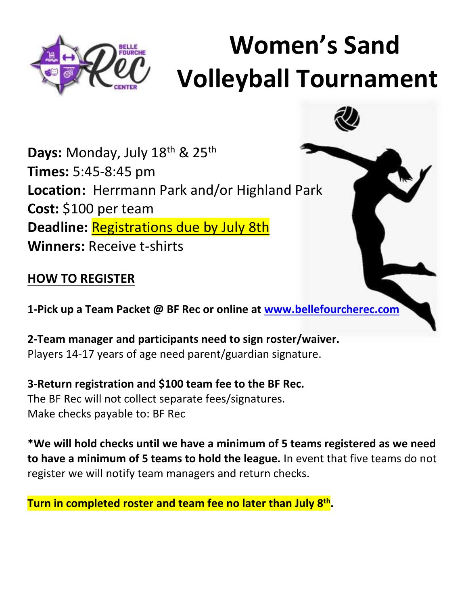

# **Women's Sand Volleyball Tournament**

Days: Monday, July 18<sup>th</sup> & 25<sup>th</sup> **Times:** 5:45-8:45 pm **Location:** Herrmann Park and/or Highland Park **Cost:** \$100 per team **Deadline:** Registrations due by July 8th **Winners:** Receive t-shirts

### **HOW TO REGISTER**

**1-Pick up a Team Packet @ BF Rec or online at [www.bellefourcherec.com](http://www.bellefourcherec.com/)**

**2-Team manager and participants need to sign roster/waiver.** Players 14-17 years of age need parent/guardian signature.

**3-Return registration and \$100 team fee to the BF Rec.** The BF Rec will not collect separate fees/signatures. Make checks payable to: BF Rec

**\*We will hold checks until we have a minimum of 5 teams registered as we need to have a minimum of 5 teams to hold the league.** In event that five teams do not register we will notify team managers and return checks.

**Turn in completed roster and team fee no later than July 8th .**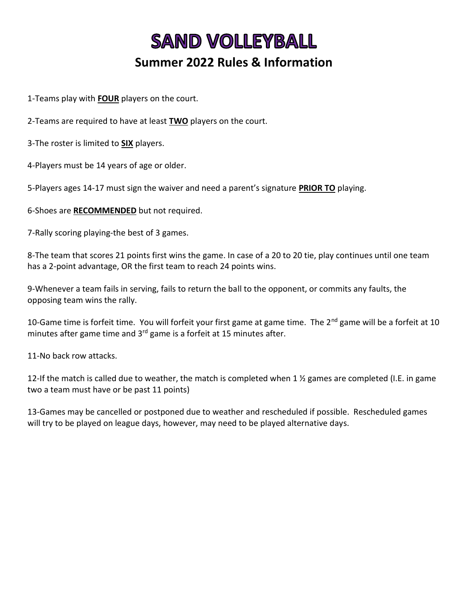## **SAND VOLLEYBALL Summer 2022 Rules & Information**

1-Teams play with **FOUR** players on the court.

2-Teams are required to have at least **TWO** players on the court.

3-The roster is limited to **SIX** players.

4-Players must be 14 years of age or older.

5-Players ages 14-17 must sign the waiver and need a parent's signature **PRIOR TO** playing.

6-Shoes are **RECOMMENDED** but not required.

7-Rally scoring playing-the best of 3 games.

8-The team that scores 21 points first wins the game. In case of a 20 to 20 tie, play continues until one team has a 2-point advantage, OR the first team to reach 24 points wins.

9-Whenever a team fails in serving, fails to return the ball to the opponent, or commits any faults, the opposing team wins the rally.

10-Game time is forfeit time. You will forfeit your first game at game time. The 2<sup>nd</sup> game will be a forfeit at 10 minutes after game time and 3<sup>rd</sup> game is a forfeit at 15 minutes after.

11-No back row attacks.

12-If the match is called due to weather, the match is completed when 1  $\frac{1}{2}$  games are completed (I.E. in game two a team must have or be past 11 points)

13-Games may be cancelled or postponed due to weather and rescheduled if possible. Rescheduled games will try to be played on league days, however, may need to be played alternative days.